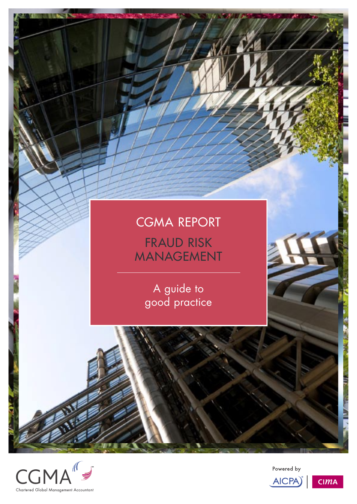





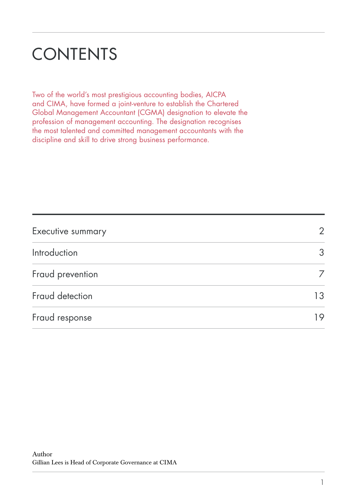# **CONTENTS**

Two of the world's most prestigious accounting bodies, AICPA and CIMA, have formed a joint-venture to establish the Chartered Global Management Accountant (CGMA) designation to elevate the profession of management accounting. The designation recognises the most talented and committed management accountants with the discipline and skill to drive strong business performance.

| Executive summary | $\overline{2}$ |
|-------------------|----------------|
| Introduction      | 3              |
| Fraud prevention  |                |
| Fraud detection   | 13             |
| Fraud response    | 19             |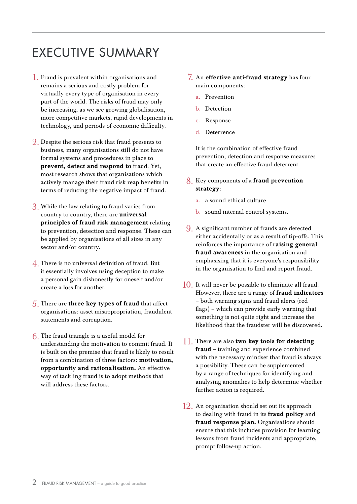# EXECUTIVE SUMMARY

- $\hat{}$  ]. Fraud is prevalent within organisations and remains a serious and costly problem for virtually every type of organisation in every part of the world. The risks of fraud may only be increasing, as we see growing globalisation, more competitive markets, rapid developments in technology, and periods of economic difficulty.
- $2.$  Despite the serious risk that fraud presents to business, many organisations still do not have formal systems and procedures in place to prevent, detect and respond to fraud. Yet, most research shows that organisations which actively manage their fraud risk reap benefits in terms of reducing the negative impact of fraud.
- $3.$  While the law relating to fraud varies from country to country, there are universal principles of fraud risk management relating to prevention, detection and response. These can be applied by organisations of all sizes in any sector and/or country.
- $\overline{4}$ . There is no universal definition of fraud. But it essentially involves using deception to make a personal gain dishonestly for oneself and/or create a loss for another.
- $5$ . There are three key types of fraud that affect organisations: asset misappropriation, fraudulent statements and corruption.
- $6$ . The fraud triangle is a useful model for understanding the motivation to commit fraud. It is built on the premise that fraud is likely to result from a combination of three factors: motivation, opportunity and rationalisation. An effective way of tackling fraud is to adopt methods that will address these factors.
- An effective anti-fraud strategy has four 7. main components:
	- a. Prevention
	- b. Detection
	- c. Response
	- d. Deterrence

It is the combination of effective fraud prevention, detection and response measures that create an effective fraud deterrent.

- 8. Key components of a fraud prevention strategy:
	- a. a sound ethical culture
	- b. sound internal control systems.
- A significant number of frauds are detected 9. either accidentally or as a result of tip-offs. This reinforces the importance of raising general fraud awareness in the organisation and emphasising that it is everyone's responsibility in the organisation to find and report fraud.
- $10$ . It will never be possible to eliminate all fraud. However, there are a range of fraud indicators – both warning signs and fraud alerts (red flags) – which can provide early warning that something is not quite right and increase the likelihood that the fraudster will be discovered.
- 11. There are also two key tools for detecting fraud – training and experience combined with the necessary mindset that fraud is always a possibility. These can be supplemented by a range of techniques for identifying and analysing anomalies to help determine whether further action is required.
- An organisation should set out its approach 12.to dealing with fraud in its fraud policy and fraud response plan. Organisations should ensure that this includes provision for learning lessons from fraud incidents and appropriate, prompt follow-up action.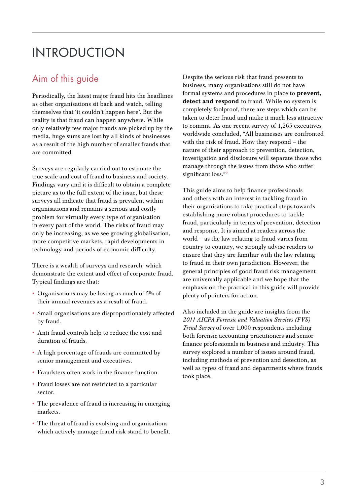# INTRODUCTION

# Aim of this guide

Periodically, the latest major fraud hits the headlines as other organisations sit back and watch, telling themselves that 'it couldn't happen here'. But the reality is that fraud can happen anywhere. While only relatively few major frauds are picked up by the media, huge sums are lost by all kinds of businesses as a result of the high number of smaller frauds that are committed.

Surveys are regularly carried out to estimate the true scale and cost of fraud to business and society. Findings vary and it is difficult to obtain a complete picture as to the full extent of the issue, but these surveys all indicate that fraud is prevalent within organisations and remains a serious and costly problem for virtually every type of organisation in every part of the world. The risks of fraud may only be increasing, as we see growing globalisation, more competitive markets, rapid developments in technology and periods of economic difficulty.

There is a wealth of surveys and research<sup>1</sup> which demonstrate the extent and effect of corporate fraud. Typical findings are that:

- Organisations may be losing as much of 5% of their annual revenues as a result of fraud.
- Small organisations are disproportionately affected by fraud.
- Anti-fraud controls help to reduce the cost and duration of frauds.
- A high percentage of frauds are committed by senior management and executives.
- Fraudsters often work in the finance function.
- Fraud losses are not restricted to a particular sector.
- The prevalence of fraud is increasing in emerging markets.
- The threat of fraud is evolving and organisations which actively manage fraud risk stand to benefit.

Despite the serious risk that fraud presents to business, many organisations still do not have formal systems and procedures in place to prevent, detect and respond to fraud. While no system is completely foolproof, there are steps which can be taken to deter fraud and make it much less attractive to commit. As one recent survey of 1,265 executives worldwide concluded, "All businesses are confronted with the risk of fraud. How they respond – the nature of their approach to prevention, detection, investigation and disclosure will separate those who manage through the issues from those who suffer significant loss."<sup>2</sup>

This guide aims to help finance professionals and others with an interest in tackling fraud in their organisations to take practical steps towards establishing more robust procedures to tackle fraud, particularly in terms of prevention, detection and response. It is aimed at readers across the world – as the law relating to fraud varies from country to country, we strongly advise readers to ensure that they are familiar with the law relating to fraud in their own jurisdiction. However, the general principles of good fraud risk management are universally applicable and we hope that the emphasis on the practical in this guide will provide plenty of pointers for action.

Also included in the guide are insights from the *2011 AICPA Forensic and Valuation Services (FVS) Trend Survey* of over 1,000 respondents including both forensic accounting practitioners and senior finance professionals in business and industry. This survey explored a number of issues around fraud, including methods of prevention and detection, as well as types of fraud and departments where frauds took place.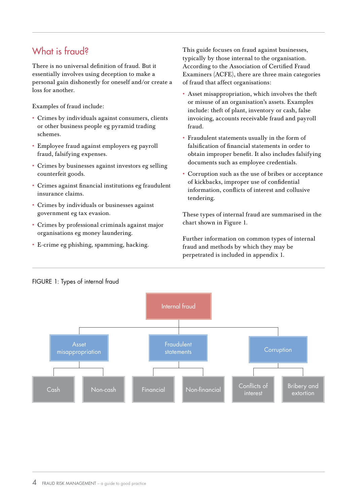# What is fraud?

There is no universal definition of fraud. But it essentially involves using deception to make a personal gain dishonestly for oneself and/or create a loss for another.

Examples of fraud include:

- Crimes by individuals against consumers, clients or other business people eg pyramid trading schemes.
- Employee fraud against employers eg payroll fraud, falsifying expenses.
- Crimes by businesses against investors eg selling counterfeit goods.
- Crimes against financial institutions eg fraudulent insurance claims.
- Crimes by individuals or businesses against government eg tax evasion.
- Crimes by professional criminals against major organisations eg money laundering.
- E-crime eg phishing, spamming, hacking.

This guide focuses on fraud against businesses, typically by those internal to the organisation. According to the Association of Certified Fraud Examiners (ACFE), there are three main categories of fraud that affect organisations:

- Asset misappropriation, which involves the theft or misuse of an organisation's assets. Examples include: theft of plant, inventory or cash, false invoicing, accounts receivable fraud and payroll fraud.
- Fraudulent statements usually in the form of falsification of financial statements in order to obtain improper benefit. It also includes falsifying documents such as employee credentials.
- Corruption such as the use of bribes or acceptance of kickbacks, improper use of confidential information, conflicts of interest and collusive tendering.

These types of internal fraud are summarised in the chart shown in Figure 1.

Further information on common types of internal fraud and methods by which they may be perpetrated is included in appendix 1.



#### FIGURE 1: Types of internal fraud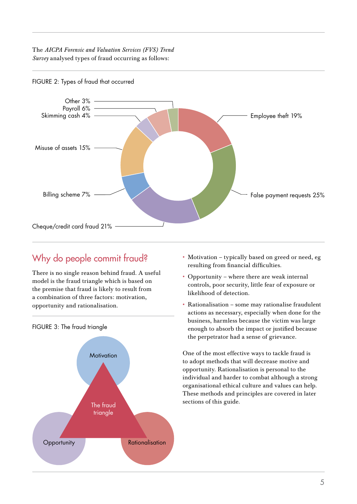The *AICPA Forensic and Valuation Services (FVS) Trend Survey* analysed types of fraud occurring as follows:



FIGURE 2: Types of fraud that occurred

# Why do people commit fraud?

There is no single reason behind fraud. A useful model is the fraud triangle which is based on the premise that fraud is likely to result from a combination of three factors: motivation, opportunity and rationalisation.



FIGURE 3: The fraud triangle

- Motivation typically based on greed or need, eg resulting from financial difficulties.
- Opportunity where there are weak internal controls, poor security, little fear of exposure or likelihood of detection.
- Rationalisation some may rationalise fraudulent actions as necessary, especially when done for the business, harmless because the victim was large enough to absorb the impact or justified because the perpetrator had a sense of grievance.

One of the most effective ways to tackle fraud is to adopt methods that will decrease motive and opportunity. Rationalisation is personal to the individual and harder to combat although a strong organisational ethical culture and values can help. These methods and principles are covered in later sections of this guide.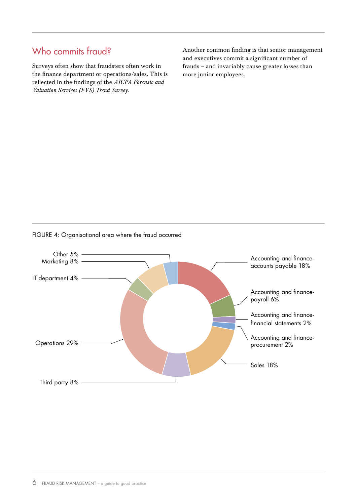# Who commits fraud?

Surveys often show that fraudsters often work in the finance department or operations/sales. This is reflected in the findings of the *AICPA Forensic and Valuation Services (FVS) Trend Survey.*

Another common finding is that senior management and executives commit a significant number of frauds – and invariably cause greater losses than more junior employees.

### Other 5% Marketing 8% IT department 4% Operations 29% Third party 8% Accounting and financeaccounts payable 18% Accounting and financepayroll 6% Accounting and financefinancial statements 2% Accounting and financeprocurement 2% Sales 18%

#### FIGURE 4: Organisational area where the fraud occurred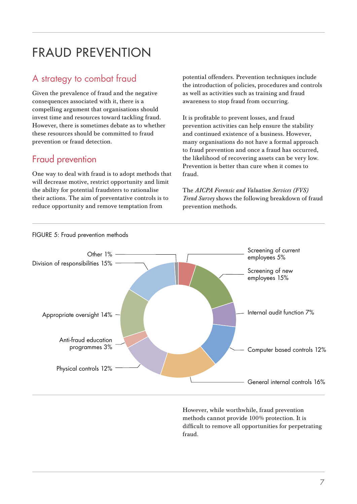# FRAUD PREVENTION

# A strategy to combat fraud

Given the prevalence of fraud and the negative consequences associated with it, there is a compelling argument that organisations should invest time and resources toward tackling fraud. However, there is sometimes debate as to whether these resources should be committed to fraud prevention or fraud detection.

# Fraud prevention

One way to deal with fraud is to adopt methods that will decrease motive, restrict opportunity and limit the ability for potential fraudsters to rationalise their actions. The aim of preventative controls is to reduce opportunity and remove temptation from

potential offenders. Prevention techniques include the introduction of policies, procedures and controls as well as activities such as training and fraud awareness to stop fraud from occurring.

It is profitable to prevent losses, and fraud prevention activities can help ensure the stability and continued existence of a business. However, many organisations do not have a formal approach to fraud prevention and once a fraud has occurred, the likelihood of recovering assets can be very low. Prevention is better than cure when it comes to fraud.

The *AICPA Forensic and Valuation Services (FVS) Trend Survey* shows the following breakdown of fraud prevention methods.



However, while worthwhile, fraud prevention methods cannot provide 100% protection. It is difficult to remove all opportunities for perpetrating fraud.

#### FIGURE 5: Fraud prevention methods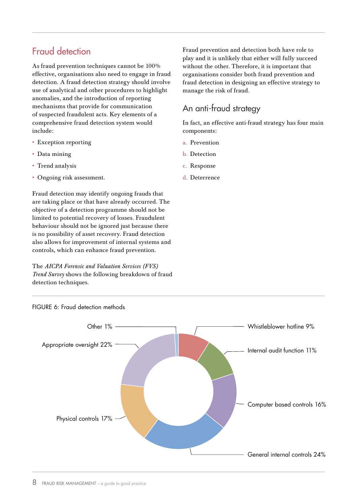# Fraud detection

As fraud prevention techniques cannot be 100% effective, organisations also need to engage in fraud detection. A fraud detection strategy should involve use of analytical and other procedures to highlight anomalies, and the introduction of reporting mechanisms that provide for communication of suspected fraudulent acts. Key elements of a comprehensive fraud detection system would include:

- Exception reporting
- Data mining
- Trend analysis
- Ongoing risk assessment.

Fraud detection may identify ongoing frauds that are taking place or that have already occurred. The objective of a detection programme should not be limited to potential recovery of losses. Fraudulent behaviour should not be ignored just because there is no possibility of asset recovery. Fraud detection also allows for improvement of internal systems and controls, which can enhance fraud prevention.

The *AICPA Forensic and Valuation Services (FVS) Trend Survey* shows the following breakdown of fraud detection techniques.

Fraud prevention and detection both have role to play and it is unlikely that either will fully succeed without the other. Therefore, it is important that organisations consider both fraud prevention and fraud detection in designing an effective strategy to manage the risk of fraud.

### An anti-fraud strategy

In fact, an effective anti-fraud strategy has four main components:

- a. Prevention
- b. Detection
- c. Response
- d. Deterrence



#### FIGURE 6: Fraud detection methods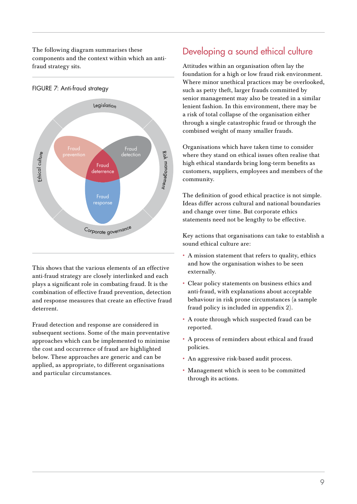The following diagram summarises these components and the context within which an antifraud strategy sits.



FIGURE 7: Anti-fraud strategy

This shows that the various elements of an effective anti-fraud strategy are closely interlinked and each plays a significant role in combating fraud. It is the combination of effective fraud prevention, detection and response measures that create an effective fraud deterrent.

Fraud detection and response are considered in subsequent sections. Some of the main preventative approaches which can be implemented to minimise the cost and occurrence of fraud are highlighted below. These approaches are generic and can be applied, as appropriate, to different organisations and particular circumstances.

# Developing a sound ethical culture

Attitudes within an organisation often lay the foundation for a high or low fraud risk environment. Where minor unethical practices may be overlooked, such as petty theft, larger frauds committed by senior management may also be treated in a similar lenient fashion. In this environment, there may be a risk of total collapse of the organisation either through a single catastrophic fraud or through the combined weight of many smaller frauds.

Organisations which have taken time to consider where they stand on ethical issues often realise that high ethical standards bring long-term benefits as customers, suppliers, employees and members of the community.

The definition of good ethical practice is not simple. Ideas differ across cultural and national boundaries and change over time. But corporate ethics statements need not be lengthy to be effective.

Key actions that organisations can take to establish a sound ethical culture are:

- A mission statement that refers to quality, ethics and how the organisation wishes to be seen externally.
- Clear policy statements on business ethics and anti-fraud, with explanations about acceptable behaviour in risk prone circumstances (a sample fraud policy is included in appendix 2).
- A route through which suspected fraud can be reported.
- A process of reminders about ethical and fraud policies.
- An aggressive risk-based audit process.
- Management which is seen to be committed through its actions.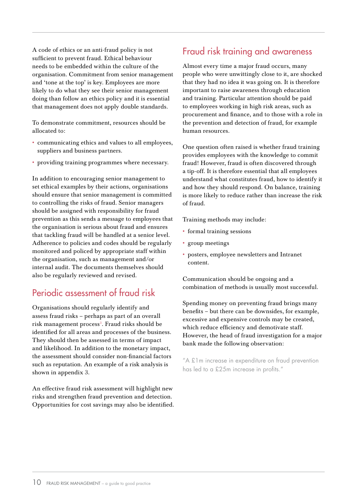A code of ethics or an anti-fraud policy is not sufficient to prevent fraud. Ethical behaviour needs to be embedded within the culture of the organisation. Commitment from senior management and 'tone at the top' is key. Employees are more likely to do what they see their senior management doing than follow an ethics policy and it is essential that management does not apply double standards.

To demonstrate commitment, resources should be allocated to:

- communicating ethics and values to all employees, suppliers and business partners.
- providing training programmes where necessary.

In addition to encouraging senior management to set ethical examples by their actions, organisations should ensure that senior management is committed to controlling the risks of fraud. Senior managers should be assigned with responsibility for fraud prevention as this sends a message to employees that the organisation is serious about fraud and ensures that tackling fraud will be handled at a senior level. Adherence to policies and codes should be regularly monitored and policed by appropriate staff within the organisation, such as management and/or internal audit. The documents themselves should also be regularly reviewed and revised.

# Periodic assessment of fraud risk

Organisations should regularly identify and assess fraud risks – perhaps as part of an overall risk management process<sup>3</sup>. Fraud risks should be identified for all areas and processes of the business. They should then be assessed in terms of impact and likelihood. In addition to the monetary impact, the assessment should consider non-financial factors such as reputation. An example of a risk analysis is shown in appendix 3.

An effective fraud risk assessment will highlight new risks and strengthen fraud prevention and detection. Opportunities for cost savings may also be identified.

# Fraud risk training and awareness

Almost every time a major fraud occurs, many people who were unwittingly close to it, are shocked that they had no idea it was going on. It is therefore important to raise awareness through education and training. Particular attention should be paid to employees working in high risk areas, such as procurement and finance, and to those with a role in the prevention and detection of fraud, for example human resources.

One question often raised is whether fraud training provides employees with the knowledge to commit fraud! However, fraud is often discovered through a tip-off. It is therefore essential that all employees understand what constitutes fraud, how to identify it and how they should respond. On balance, training is more likely to reduce rather than increase the risk of fraud.

Training methods may include:

- formal training sessions
- group meetings
- posters, employee newsletters and Intranet content.

Communication should be ongoing and a combination of methods is usually most successful.

Spending money on preventing fraud brings many benefits – but there can be downsides, for example, excessive and expensive controls may be created, which reduce efficiency and demotivate staff. However, the head of fraud investigation for a major bank made the following observation:

"A £1m increase in expenditure on fraud prevention has led to a £25m increase in profits."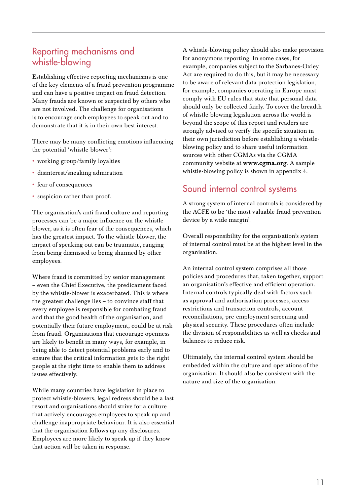### Reporting mechanisms and whistle-blowing

Establishing effective reporting mechanisms is one of the key elements of a fraud prevention programme and can have a positive impact on fraud detection. Many frauds are known or suspected by others who are not involved. The challenge for organisations is to encourage such employees to speak out and to demonstrate that it is in their own best interest.

There may be many conflicting emotions influencing the potential 'whistle-blower':

- working group/family loyalties
- disinterest/sneaking admiration
- fear of consequences
- suspicion rather than proof.

The organisation's anti-fraud culture and reporting processes can be a major influence on the whistleblower, as it is often fear of the consequences, which has the greatest impact. To the whistle-blower, the impact of speaking out can be traumatic, ranging from being dismissed to being shunned by other employees.

Where fraud is committed by senior management – even the Chief Executive, the predicament faced by the whistle-blower is exacerbated. This is where the greatest challenge lies – to convince staff that every employee is responsible for combating fraud and that the good health of the organisation, and potentially their future employment, could be at risk from fraud. Organisations that encourage openness are likely to benefit in many ways, for example, in being able to detect potential problems early and to ensure that the critical information gets to the right people at the right time to enable them to address issues effectively.

While many countries have legislation in place to protect whistle-blowers, legal redress should be a last resort and organisations should strive for a culture that actively encourages employees to speak up and challenge inappropriate behaviour. It is also essential that the organisation follows up any disclosures. Employees are more likely to speak up if they know that action will be taken in response.

A whistle-blowing policy should also make provision for anonymous reporting. In some cases, for example, companies subject to the Sarbanes-Oxley Act are required to do this, but it may be necessary to be aware of relevant data protection legislation, for example, companies operating in Europe must comply with EU rules that state that personal data should only be collected fairly. To cover the breadth of whistle-blowing legislation across the world is beyond the scope of this report and readers are strongly advised to verify the specific situation in their own jurisdiction before establishing a whistleblowing policy and to share useful information sources with other CGMAs via the CGMA community website at www.cgma.org. A sample whistle-blowing policy is shown in appendix 4.

# Sound internal control systems

A strong system of internal controls is considered by the ACFE to be 'the most valuable fraud prevention device by a wide margin'.

Overall responsibility for the organisation's system of internal control must be at the highest level in the organisation.

An internal control system comprises all those policies and procedures that, taken together, support an organisation's effective and efficient operation. Internal controls typically deal with factors such as approval and authorisation processes, access restrictions and transaction controls, account reconciliations, pre-employment screening and physical security. These procedures often include the division of responsibilities as well as checks and balances to reduce risk.

Ultimately, the internal control system should be embedded within the culture and operations of the organisation. It should also be consistent with the nature and size of the organisation.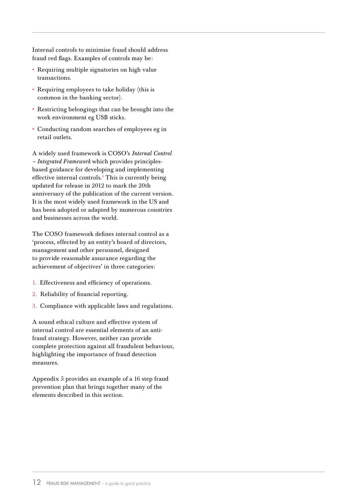Internal controls to minimise fraud should address fraud red flags. Examples of controls may be:

- Requiring multiple signatories on high value transactions.
- Requiring employees to take holiday (this is common in the banking sector).
- Restricting belongings that can be brought into the work environment eg USB sticks.
- Conducting random searches of employees eg in retail outlets.

A widely used framework is COSO's *Internal Control – Integrated Framework* which provides principlesbased guidance for developing and implementing effective internal controls.<sup>4</sup> This is currently being updated for release in 2012 to mark the 20th anniversary of the publication of the current version. It is the most widely used framework in the US and has been adopted or adapted by numerous countries and businesses across the world.

The COSO framework defines internal control as a 'process, effected by an entity's board of directors, management and other personnel, designed to provide reasonable assurance regarding the achievement of objectives' in three categories:

- 1. Effectiveness and efficiency of operations.
- 2. Reliability of financial reporting.
- 3. Compliance with applicable laws and regulations.

A sound ethical culture and effective system of internal control are essential elements of an antifraud strategy. However, neither can provide complete protection against all fraudulent behaviour, highlighting the importance of fraud detection measures.

Appendix 5 provides an example of a 16 step fraud prevention plan that brings together many of the elements described in this section.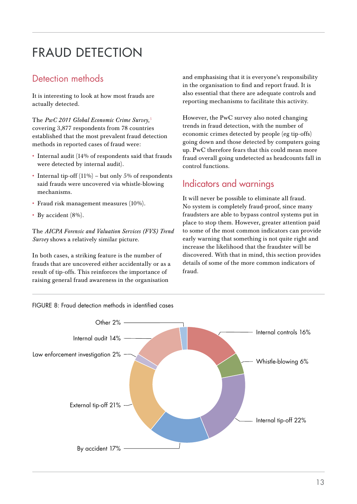# FRAUD DETECTION

## Detection methods

It is interesting to look at how most frauds are actually detected.

The *PwC 2011 Global Economic Crime Survey,*<sup>5</sup> covering 3,877 respondents from 78 countries established that the most prevalent fraud detection methods in reported cases of fraud were:

- Internal audit (14% of respondents said that frauds were detected by internal audit).
- Internal tip-off  $(11\%)$  but only 5% of respondents said frauds were uncovered via whistle-blowing mechanisms.
- Fraud risk management measures (10%).
- By accident (8%).

The *AICPA Forensic and Valuation Services (FVS) Trend Survey* shows a relatively similar picture.

In both cases, a striking feature is the number of frauds that are uncovered either accidentally or as a result of tip-offs. This reinforces the importance of raising general fraud awareness in the organisation

and emphasising that it is everyone's responsibility in the organisation to find and report fraud. It is also essential that there are adequate controls and reporting mechanisms to facilitate this activity.

However, the PwC survey also noted changing trends in fraud detection, with the number of economic crimes detected by people (eg tip-offs) going down and those detected by computers going up. PwC therefore fears that this could mean more fraud overall going undetected as headcounts fall in control functions.

### Indicators and warnings

It will never be possible to eliminate all fraud. No system is completely fraud-proof, since many fraudsters are able to bypass control systems put in place to stop them. However, greater attention paid to some of the most common indicators can provide early warning that something is not quite right and increase the likelihood that the fraudster will be discovered. With that in mind, this section provides details of some of the more common indicators of fraud.

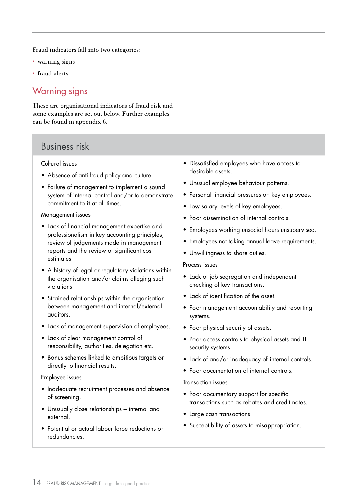Fraud indicators fall into two categories:

- warning signs
- fraud alerts.

### Warning signs

These are organisational indicators of fraud risk and some examples are set out below. Further examples can be found in appendix 6.

#### Business risk

#### Cultural issues

- Absence of anti-fraud policy and culture.
- Failure of management to implement a sound system of internal control and/or to demonstrate commitment to it at all times.

#### Management issues

- Lack of financial management expertise and professionalism in key accounting principles, review of judgements made in management reports and the review of significant cost estimates.
- A history of legal or regulatory violations within the organisation and/or claims alleging such violations.
- Strained relationships within the organisation between management and internal/external auditors.
- Lack of management supervision of employees.
- Lack of clear management control of responsibility, authorities, delegation etc.
- Bonus schemes linked to ambitious targets or directly to financial results.

#### Employee issues

- Inadequate recruitment processes and absence of screening.
- Unusually close relationships internal and external.
- Potential or actual labour force reductions or redundancies.
- Dissatisfied employees who have access to desirable assets.
- Unusual employee behaviour patterns.
- Personal financial pressures on key employees.
- Low salary levels of key employees.
- Poor dissemination of internal controls.
- Employees working unsocial hours unsupervised.
- Employees not taking annual leave requirements.
- Unwillingness to share duties.

#### Process issues

- Lack of job segregation and independent checking of key transactions.
- Lack of identification of the asset.
- Poor management accountability and reporting systems.
- Poor physical security of assets.
- Poor access controls to physical assets and IT security systems.
- Lack of and/or inadequacy of internal controls.
- Poor documentation of internal controls.

#### Transaction issues

- Poor documentary support for specific transactions such as rebates and credit notes.
- Large cash transactions.
- Susceptibility of assets to misappropriation.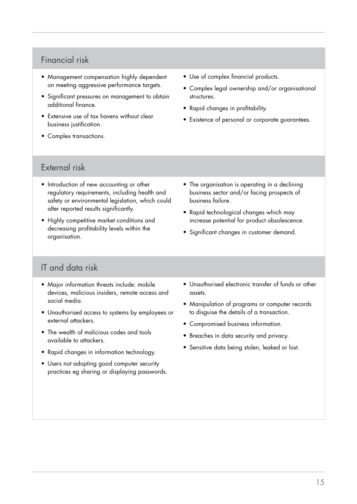### Financial risk

- Management compensation highly dependent on meeting aggressive performance targets.
- Significant pressures on management to obtain additional finance.
- Extensive use of tax havens without clear business justification.
- Complex transactions.
- Use of complex financial products.
- Complex legal ownership and/or organisational structures.
- Rapid changes in profitability.
- Existence of personal or corporate guarantees.

#### External risk

- Introduction of new accounting or other regulatory requirements, including health and safety or environmental legislation, which could alter reported results significantly.
- Highly competitive market conditions and decreasing profitability levels within the organisation.
- The organisation is operating in a declining business sector and/or facing prospects of business failure.
- Rapid technological changes which may increase potential for product obsolescence.
- Significant changes in customer demand.

### IT and data risk

- Major information threats include: mobile devices, malicious insiders, remote access and social media.
- Unauthorised access to systems by employees or external attackers.
- The wealth of malicious codes and tools available to attackers.
- Rapid changes in information technology.
- Users not adopting good computer security practices eg sharing or displaying passwords.
- Unauthorised electronic transfer of funds or other assets.
- Manipulation of programs or computer records to disguise the details of a transaction.
- Compromised business information.
- Breaches in data security and privacy.
- Sensitive data being stolen, leaked or lost.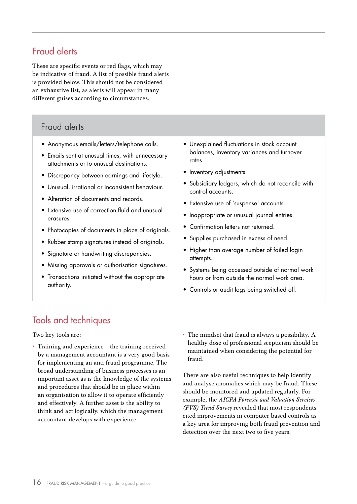# Fraud alerts

These are specific events or red flags, which may be indicative of fraud. A list of possible fraud alerts is provided below. This should not be considered an exhaustive list, as alerts will appear in many different guises according to circumstances.

#### Fraud alerts

- Anonymous emails/letters/telephone calls.
- Emails sent at unusual times, with unnecessary attachments or to unusual destinations.
- Discrepancy between earnings and lifestyle.
- Unusual, irrational or inconsistent behaviour.
- Alteration of documents and records.
- Extensive use of correction fluid and unusual erasures.
- Photocopies of documents in place of originals.
- Rubber stamp signatures instead of originals.
- Signature or handwriting discrepancies.
- Missing approvals or authorisation signatures.
- Transactions initiated without the appropriate authority.
- Unexplained fluctuations in stock account balances, inventory variances and turnover rates.
- Inventory adjustments.
- Subsidiary ledgers, which do not reconcile with control accounts.
- Extensive use of 'suspense' accounts.
- Inappropriate or unusual journal entries.
- Confirmation letters not returned.
- Supplies purchased in excess of need.
- Higher than average number of failed login attempts.
- Systems being accessed outside of normal work hours or from outside the normal work area.
- Controls or audit logs being switched off.

# Tools and techniques

Two key tools are:

- Training and experience the training received by a management accountant is a very good basis for implementing an anti-fraud programme. The broad understanding of business processes is an important asset as is the knowledge of the systems and procedures that should be in place within an organisation to allow it to operate efficiently and effectively. A further asset is the ability to think and act logically, which the management accountant develops with experience.
- The mindset that fraud is always a possibility. A healthy dose of professional scepticism should be maintained when considering the potential for fraud.

There are also useful techniques to help identify and analyse anomalies which may be fraud. These should be monitored and updated regularly. For example, the *AICPA Forensic and Valuation Services (FVS) Trend Survey* revealed that most respondents cited improvements in computer based controls as a key area for improving both fraud prevention and detection over the next two to five years.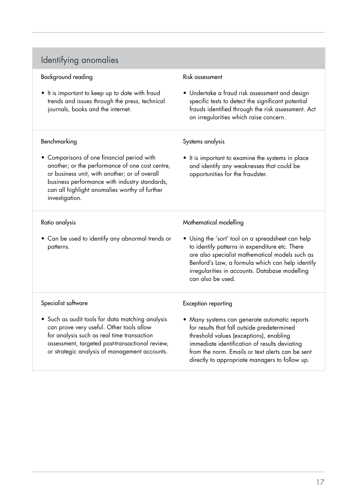# Identifying anomalies

| Background reading                                                                                                                                                                                                                                                 | Risk assessment                                                                                                                                                                                                                                                                                |
|--------------------------------------------------------------------------------------------------------------------------------------------------------------------------------------------------------------------------------------------------------------------|------------------------------------------------------------------------------------------------------------------------------------------------------------------------------------------------------------------------------------------------------------------------------------------------|
| It is important to keep up to date with fraud<br>trends and issues through the press, technical<br>journals, books and the internet.                                                                                                                               | • Undertake a fraud risk assessment and design<br>specific tests to detect the significant potential<br>frauds identified through the risk assessment. Act<br>on irregularities which raise concern.                                                                                           |
| Benchmarking                                                                                                                                                                                                                                                       | Systems analysis                                                                                                                                                                                                                                                                               |
| • Comparisons of one financial period with<br>another; or the performance of one cost centre,<br>or business unit, with another; or of overall<br>business performance with industry standards,<br>can all highlight anomalies worthy of further<br>investigation. | • It is important to examine the systems in place<br>and identify any weaknesses that could be<br>opportunities for the fraudster.                                                                                                                                                             |
| Ratio analysis                                                                                                                                                                                                                                                     | Mathematical modelling                                                                                                                                                                                                                                                                         |
| • Can be used to identify any abnormal trends or<br>patterns.                                                                                                                                                                                                      | • Using the 'sort' tool on a spreadsheet can help<br>to identify patterns in expenditure etc. There<br>are also specialist mathematical models such as<br>Benford's Law, a formula which can help identify<br>irregularities in accounts. Database modelling<br>can also be used.              |
| Specialist software                                                                                                                                                                                                                                                | Exception reporting                                                                                                                                                                                                                                                                            |
| • Such as audit tools for data matching analysis<br>can prove very useful. Other tools allow<br>for analysis such as real time transaction<br>assessment, targeted post-transactional review,<br>or strategic analysis of management accounts.                     | • Many systems can generate automatic reports<br>for results that fall outside predetermined<br>threshold values (exceptions), enabling<br>immediate identification of results deviating<br>from the norm. Emails or text alerts can be sent<br>directly to appropriate managers to follow up. |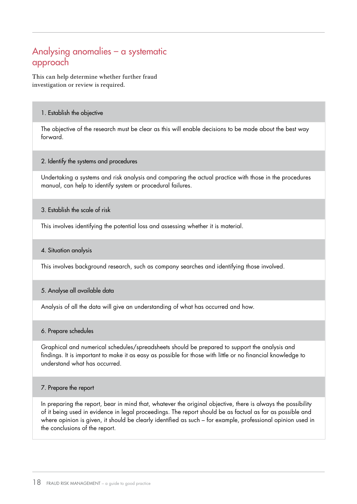## Analysing anomalies – a systematic approach

This can help determine whether further fraud investigation or review is required.

#### 1. Establish the objective

The objective of the research must be clear as this will enable decisions to be made about the best way forward.

#### 2. Identify the systems and procedures

Undertaking a systems and risk analysis and comparing the actual practice with those in the procedures manual, can help to identify system or procedural failures.

#### 3. Establish the scale of risk

This involves identifying the potential loss and assessing whether it is material.

#### 4. Situation analysis

This involves background research, such as company searches and identifying those involved.

#### 5. Analyse all available data

Analysis of all the data will give an understanding of what has occurred and how.

#### 6. Prepare schedules

Graphical and numerical schedules/spreadsheets should be prepared to support the analysis and findings. It is important to make it as easy as possible for those with little or no financial knowledge to understand what has occurred.

#### 7. Prepare the report

In preparing the report, bear in mind that, whatever the original objective, there is always the possibility of it being used in evidence in legal proceedings. The report should be as factual as far as possible and where opinion is given, it should be clearly identified as such – for example, professional opinion used in the conclusions of the report.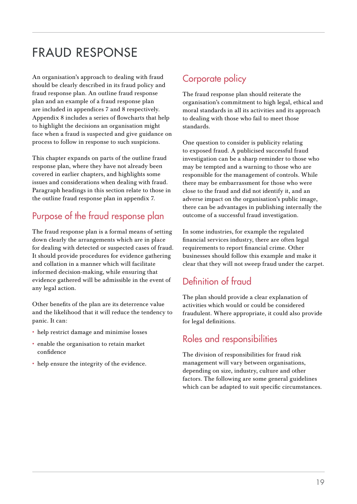# FRAUD RESPONSE

An organisation's approach to dealing with fraud should be clearly described in its fraud policy and fraud response plan. An outline fraud response plan and an example of a fraud response plan are included in appendices 7 and 8 respectively. Appendix 8 includes a series of flowcharts that help to highlight the decisions an organisation might face when a fraud is suspected and give guidance on process to follow in response to such suspicions.

This chapter expands on parts of the outline fraud response plan, where they have not already been covered in earlier chapters, and highlights some issues and considerations when dealing with fraud. Paragraph headings in this section relate to those in the outline fraud response plan in appendix 7.

# Purpose of the fraud response plan

The fraud response plan is a formal means of setting down clearly the arrangements which are in place for dealing with detected or suspected cases of fraud. It should provide procedures for evidence gathering and collation in a manner which will facilitate informed decision-making, while ensuring that evidence gathered will be admissible in the event of any legal action.

Other benefits of the plan are its deterrence value and the likelihood that it will reduce the tendency to panic. It can:

- help restrict damage and minimise losses
- enable the organisation to retain market confidence
- help ensure the integrity of the evidence.

# Corporate policy

The fraud response plan should reiterate the organisation's commitment to high legal, ethical and moral standards in all its activities and its approach to dealing with those who fail to meet those standards.

One question to consider is publicity relating to exposed fraud. A publicised successful fraud investigation can be a sharp reminder to those who may be tempted and a warning to those who are responsible for the management of controls. While there may be embarrassment for those who were close to the fraud and did not identify it, and an adverse impact on the organisation's public image, there can be advantages in publishing internally the outcome of a successful fraud investigation.

In some industries, for example the regulated financial services industry, there are often legal requirements to report financial crime. Other businesses should follow this example and make it clear that they will not sweep fraud under the carpet.

# Definition of fraud

The plan should provide a clear explanation of activities which would or could be considered fraudulent. Where appropriate, it could also provide for legal definitions.

### Roles and responsibilities

The division of responsibilities for fraud risk management will vary between organisations, depending on size, industry, culture and other factors. The following are some general guidelines which can be adapted to suit specific circumstances.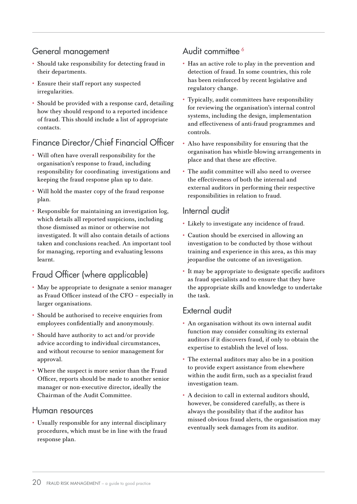### General management

- Should take responsibility for detecting fraud in their departments.
- Ensure their staff report any suspected irregularities.
- Should be provided with a response card, detailing how they should respond to a reported incidence of fraud. This should include a list of appropriate contacts.

### Finance Director/Chief Financial Officer

- Will often have overall responsibility for the organisation's response to fraud, including responsibility for coordinating investigations and keeping the fraud response plan up to date.
- Will hold the master copy of the fraud response plan.
- Responsible for maintaining an investigation log, which details all reported suspicions, including those dismissed as minor or otherwise not investigated. It will also contain details of actions taken and conclusions reached. An important tool for managing, reporting and evaluating lessons learnt.

### Fraud Officer (where applicable)

- May be appropriate to designate a senior manager as Fraud Officer instead of the CFO – especially in larger organisations.
- Should be authorised to receive enquiries from employees confidentially and anonymously.
- Should have authority to act and/or provide advice according to individual circumstances, and without recourse to senior management for approval.
- Where the suspect is more senior than the Fraud Officer, reports should be made to another senior manager or non-executive director, ideally the Chairman of the Audit Committee.

#### Human resources

• Usually responsible for any internal disciplinary procedures, which must be in line with the fraud response plan.

### Audit committee<sup>6</sup>

- Has an active role to play in the prevention and detection of fraud. In some countries, this role has been reinforced by recent legislative and regulatory change.
- Typically, audit committees have responsibility for reviewing the organisation's internal control systems, including the design, implementation and effectiveness of anti-fraud programmes and controls.
- Also have responsibility for ensuring that the organisation has whistle-blowing arrangements in place and that these are effective.
- The audit committee will also need to oversee the effectiveness of both the internal and external auditors in performing their respective responsibilities in relation to fraud.

#### Internal audit

- Likely to investigate any incidence of fraud.
- Caution should be exercised in allowing an investigation to be conducted by those without training and experience in this area, as this may jeopardise the outcome of an investigation.
- It may be appropriate to designate specific auditors as fraud specialists and to ensure that they have the appropriate skills and knowledge to undertake the task.

### External audit

- An organisation without its own internal audit function may consider consulting its external auditors if it discovers fraud, if only to obtain the expertise to establish the level of loss.
- The external auditors may also be in a position to provide expert assistance from elsewhere within the audit firm, such as a specialist fraud investigation team.
- A decision to call in external auditors should, however, be considered carefully, as there is always the possibility that if the auditor has missed obvious fraud alerts, the organisation may eventually seek damages from its auditor.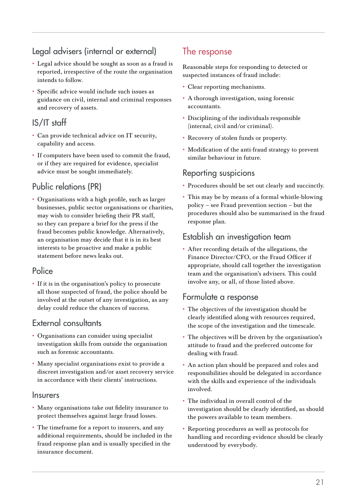# Legal advisers (internal or external)

- Legal advice should be sought as soon as a fraud is reported, irrespective of the route the organisation intends to follow.
- Specific advice would include such issues as guidance on civil, internal and criminal responses and recovery of assets.

# IS/IT staff

- Can provide technical advice on IT security, capability and access.
- If computers have been used to commit the fraud, or if they are required for evidence, specialist advice must be sought immediately.

### Public relations (PR)

• Organisations with a high profile, such as larger businesses, public sector organisations or charities, may wish to consider briefing their PR staff, so they can prepare a brief for the press if the fraud becomes public knowledge. Alternatively, an organisation may decide that it is in its best interests to be proactive and make a public statement before news leaks out.

### **Police**

• If it is in the organisation's policy to prosecute all those suspected of fraud, the police should be involved at the outset of any investigation, as any delay could reduce the chances of success.

### External consultants

- Organisations can consider using specialist investigation skills from outside the organisation such as forensic accountants.
- Many specialist organisations exist to provide a discreet investigation and/or asset recovery service in accordance with their clients' instructions.

#### **Insurers**

- Many organisations take out fidelity insurance to protect themselves against large fraud losses.
- The timeframe for a report to insurers, and any additional requirements, should be included in the fraud response plan and is usually specified in the insurance document.

# The response

Reasonable steps for responding to detected or suspected instances of fraud include:

- Clear reporting mechanisms.
- A thorough investigation, using forensic accountants.
- Disciplining of the individuals responsible (internal, civil and/or criminal).
- Recovery of stolen funds or property.
- Modification of the anti-fraud strategy to prevent similar behaviour in future.

### Reporting suspicions

- Procedures should be set out clearly and succinctly.
- This may be by means of a formal whistle-blowing policy – see Fraud prevention section – but the procedures should also be summarised in the fraud response plan.

### Establish an investigation team

• After recording details of the allegations, the Finance Director/CFO, or the Fraud Officer if appropriate, should call together the investigation team and the organisation's advisers. This could involve any, or all, of those listed above.

#### Formulate a response

- The objectives of the investigation should be clearly identified along with resources required, the scope of the investigation and the timescale.
- The objectives will be driven by the organisation's attitude to fraud and the preferred outcome for dealing with fraud.
- An action plan should be prepared and roles and responsibilities should be delegated in accordance with the skills and experience of the individuals involved.
- The individual in overall control of the investigation should be clearly identified, as should the powers available to team members.
- Reporting procedures as well as protocols for handling and recording evidence should be clearly understood by everybody.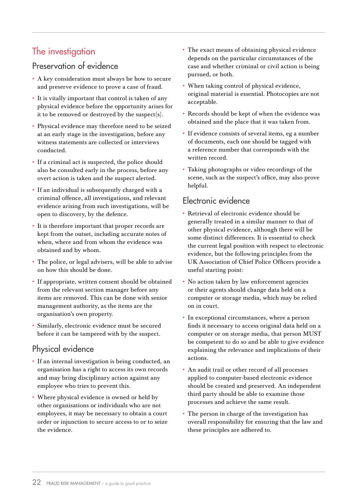# The investigation

### Preservation of evidence

- A key consideration must always be how to secure and preserve evidence to prove a case of fraud.
- It is vitally important that control is taken of any physical evidence before the opportunity arises for it to be removed or destroyed by the suspect(s).
- Physical evidence may therefore need to be seized at an early stage in the investigation, before any witness statements are collected or interviews conducted.
- If a criminal act is suspected, the police should also be consulted early in the process, before any overt action is taken and the suspect alerted.
- If an individual is subsequently charged with a criminal offence, all investigations, and relevant evidence arising from such investigations, will be open to discovery, by the defence.
- It is therefore important that proper records are kept from the outset, including accurate notes of when, where and from whom the evidence was obtained and by whom.
- The police, or legal advisers, will be able to advise on how this should be done.
- If appropriate, written consent should be obtained from the relevant section manager before any items are removed. This can be done with senior management authority, as the items are the organisation's own property.
- Similarly, electronic evidence must be secured before it can be tampered with by the suspect.

### Physical evidence

- If an internal investigation is being conducted, an organisation has a right to access its own records and may bring disciplinary action against any employee who tries to prevent this.
- Where physical evidence is owned or held by other organisations or individuals who are not employees, it may be necessary to obtain a court order or injunction to secure access to or to seize the evidence.
- The exact means of obtaining physical evidence depends on the particular circumstances of the case and whether criminal or civil action is being pursued, or both.
- When taking control of physical evidence, original material is essential. Photocopies are not acceptable.
- Records should be kept of when the evidence was obtained and the place that it was taken from.
- If evidence consists of several items, eg a number of documents, each one should be tagged with a reference number that corresponds with the written record.
- Taking photographs or video recordings of the scene, such as the suspect's office, may also prove helpful.

### Electronic evidence

- Retrieval of electronic evidence should be generally treated in a similar manner to that of other physical evidence, although there will be some distinct differences. It is essential to check the current legal position with respect to electronic evidence, but the following principles from the UK Association of Chief Police Officers provide a useful starting point:
- No action taken by law enforcement agencies or their agents should change data held on a computer or storage media, which may be relied on in court.
- In exceptional circumstances, where a person finds it necessary to access original data held on a computer or on storage media, that person MUST be competent to do so and be able to give evidence explaining the relevance and implications of their actions.
- An audit trail or other record of all processes applied to computer-based electronic evidence should be created and preserved. An independent third party should be able to examine those processes and achieve the same result.
- The person in charge of the investigation has overall responsibility for ensuring that the law and these principles are adhered to.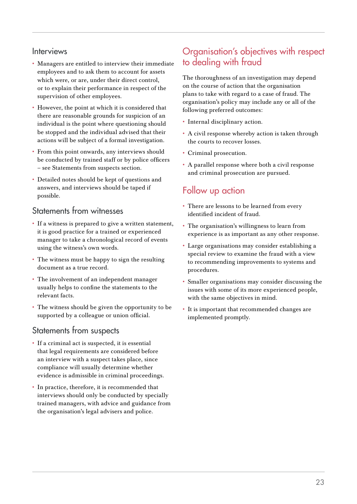#### **Interviews**

- Managers are entitled to interview their immediate employees and to ask them to account for assets which were, or are, under their direct control, or to explain their performance in respect of the supervision of other employees.
- However, the point at which it is considered that there are reasonable grounds for suspicion of an individual is the point where questioning should be stopped and the individual advised that their actions will be subject of a formal investigation.
- From this point onwards, any interviews should be conducted by trained staff or by police officers – see Statements from suspects section.
- Detailed notes should be kept of questions and answers, and interviews should be taped if possible.

#### Statements from witnesses

- If a witness is prepared to give a written statement, it is good practice for a trained or experienced manager to take a chronological record of events using the witness's own words.
- The witness must be happy to sign the resulting document as a true record.
- The involvement of an independent manager usually helps to confine the statements to the relevant facts.
- The witness should be given the opportunity to be supported by a colleague or union official.

#### Statements from suspects

- If a criminal act is suspected, it is essential that legal requirements are considered before an interview with a suspect takes place, since compliance will usually determine whether evidence is admissible in criminal proceedings.
- In practice, therefore, it is recommended that interviews should only be conducted by specially trained managers, with advice and guidance from the organisation's legal advisers and police.

### Organisation's objectives with respect to dealing with fraud

The thoroughness of an investigation may depend on the course of action that the organisation plans to take with regard to a case of fraud. The organisation's policy may include any or all of the following preferred outcomes:

- Internal disciplinary action.
- A civil response whereby action is taken through the courts to recover losses.
- Criminal prosecution.
- A parallel response where both a civil response and criminal prosecution are pursued.

### Follow up action

- There are lessons to be learned from every identified incident of fraud.
- The organisation's willingness to learn from experience is as important as any other response.
- Large organisations may consider establishing a special review to examine the fraud with a view to recommending improvements to systems and procedures.
- Smaller organisations may consider discussing the issues with some of its more experienced people, with the same objectives in mind.
- It is important that recommended changes are implemented promptly.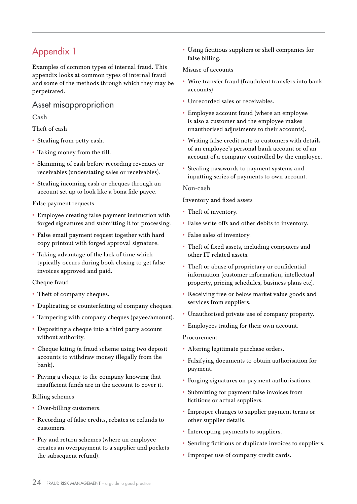Examples of common types of internal fraud. This appendix looks at common types of internal fraud and some of the methods through which they may be perpetrated.

### Asset misappropriation

Cash

Theft of cash

- Stealing from petty cash.
- Taking money from the till.
- Skimming of cash before recording revenues or receivables (understating sales or receivables).
- Stealing incoming cash or cheques through an account set up to look like a bona fide payee.

False payment requests

- Employee creating false payment instruction with forged signatures and submitting it for processing.
- False email payment request together with hard copy printout with forged approval signature.
- Taking advantage of the lack of time which typically occurs during book closing to get false invoices approved and paid.

Cheque fraud

- Theft of company cheques.
- Duplicating or counterfeiting of company cheques.
- Tampering with company cheques (payee/amount).
- Depositing a cheque into a third party account without authority.
- Cheque kiting (a fraud scheme using two deposit accounts to withdraw money illegally from the bank).
- Paying a cheque to the company knowing that insufficient funds are in the account to cover it.

#### Billing schemes

- Over-billing customers.
- Recording of false credits, rebates or refunds to customers.
- Pay and return schemes (where an employee creates an overpayment to a supplier and pockets the subsequent refund).

• Using fictitious suppliers or shell companies for false billing.

#### Misuse of accounts

- Wire transfer fraud (fraudulent transfers into bank accounts).
- Unrecorded sales or receivables.
- Employee account fraud (where an employee is also a customer and the employee makes unauthorised adjustments to their accounts).
- Writing false credit note to customers with details of an employee's personal bank account or of an account of a company controlled by the employee.
- Stealing passwords to payment systems and inputting series of payments to own account.

#### Non-cash

Inventory and fixed assets

- Theft of inventory.
- False write offs and other debits to inventory.
- False sales of inventory.
- Theft of fixed assets, including computers and other IT related assets.
- Theft or abuse of proprietary or confidential information (customer information, intellectual property, pricing schedules, business plans etc).
- Receiving free or below market value goods and services from suppliers.
- Unauthorised private use of company property.
- Employees trading for their own account.

#### Procurement

- Altering legitimate purchase orders.
- Falsifying documents to obtain authorisation for payment.
- Forging signatures on payment authorisations.
- Submitting for payment false invoices from fictitious or actual suppliers.
- Improper changes to supplier payment terms or other supplier details.
- Intercepting payments to suppliers.
- Sending fictitious or duplicate invoices to suppliers.
- Improper use of company credit cards.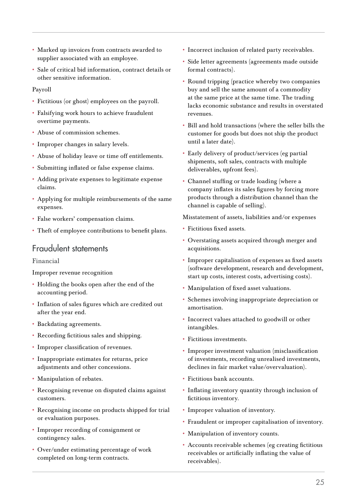- Marked up invoices from contracts awarded to supplier associated with an employee.
- Sale of critical bid information, contract details or other sensitive information.

#### Payroll

- Fictitious (or ghost) employees on the payroll.
- Falsifying work hours to achieve fraudulent overtime payments.
- Abuse of commission schemes.
- Improper changes in salary levels.
- Abuse of holiday leave or time off entitlements.
- Submitting inflated or false expense claims.
- Adding private expenses to legitimate expense claims.
- Applying for multiple reimbursements of the same expenses.
- False workers' compensation claims.
- Theft of employee contributions to benefit plans.

#### Fraudulent statements

Financial

Improper revenue recognition

- Holding the books open after the end of the accounting period.
- Inflation of sales figures which are credited out after the year end.
- Backdating agreements.
- Recording fictitious sales and shipping.
- Improper classification of revenues.
- Inappropriate estimates for returns, price adjustments and other concessions.
- Manipulation of rebates.
- Recognising revenue on disputed claims against customers.
- Recognising income on products shipped for trial or evaluation purposes.
- Improper recording of consignment or contingency sales.
- Over/under estimating percentage of work completed on long-term contracts.
- Incorrect inclusion of related party receivables.
- Side letter agreements (agreements made outside formal contracts).
- Round tripping (practice whereby two companies buy and sell the same amount of a commodity at the same price at the same time. The trading lacks economic substance and results in overstated revenues.
- Bill and hold transactions (where the seller bills the customer for goods but does not ship the product until a later date).
- Early delivery of product/services (eg partial shipments, soft sales, contracts with multiple deliverables, upfront fees).
- Channel stuffing or trade loading (where a company inflates its sales figures by forcing more products through a distribution channel than the channel is capable of selling).

Misstatement of assets, liabilities and/or expenses

- Fictitious fixed assets.
- Overstating assets acquired through merger and acquisitions.
- Improper capitalisation of expenses as fixed assets (software development, research and development, start up costs, interest costs, advertising costs).
- Manipulation of fixed asset valuations.
- Schemes involving inappropriate depreciation or amortisation.
- Incorrect values attached to goodwill or other intangibles.
- Fictitious investments.
- Improper investment valuation (misclassification of investments, recording unrealised investments, declines in fair market value/overvaluation).
- Fictitious bank accounts.
- Inflating inventory quantity through inclusion of fictitious inventory.
- Improper valuation of inventory.
- Fraudulent or improper capitalisation of inventory.
- Manipulation of inventory counts.
- Accounts receivable schemes (eg creating fictitious receivables or artificially inflating the value of receivables).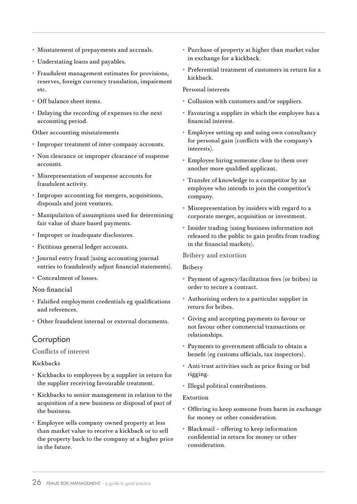- Misstatement of prepayments and accruals.
- Understating loans and payables.
- Fraudulent management estimates for provisions, reserves, foreign currency translation, impairment etc.
- Off balance sheet items.
- Delaying the recording of expenses to the next accounting period.

Other accounting misstatements

- Improper treatment of inter-company accounts.
- Non clearance or improper clearance of suspense accounts.
- Misrepresentation of suspense accounts for fraudulent activity.
- Improper accounting for mergers, acquisitions, disposals and joint ventures.
- Manipulation of assumptions used for determining fair value of share based payments.
- Improper or inadequate disclosures.
- Fictitious general ledger accounts.
- Journal entry fraud (using accounting journal entries to fraudulently adjust financial statements).
- Concealment of losses.

#### Non-financial

- Falsified employment credentials eg qualifications and references.
- Other fraudulent internal or external documents.

#### **Corruption**

#### Conflicts of interest

#### Kickbacks

- Kickbacks to employees by a supplier in return for the supplier receiving favourable treatment.
- Kickbacks to senior management in relation to the acquisition of a new business or disposal of part of the business.
- Employee sells company owned property at less than market value to receive a kickback or to sell the property back to the company at a higher price in the future.
- Purchase of property at higher than market value in exchange for a kickback.
- Preferential treatment of customers in return for a kickback.

#### Personal interests

- Collusion with customers and/or suppliers.
- Favouring a supplier in which the employee has a financial interest.
- Employee setting up and using own consultancy for personal gain (conflicts with the company's interests).
- Employee hiring someone close to them over another more qualified applicant.
- Transfer of knowledge to a competitor by an employee who intends to join the competitor's company.
- Misrepresentation by insiders with regard to a corporate merger, acquisition or investment.
- Insider trading (using business information not released to the public to gain profits from trading in the financial markets).

#### Bribery and extortion

#### Bribery

- Payment of agency/facilitation fees (or bribes) in order to secure a contract.
- Authorising orders to a particular supplier in return for bribes.
- Giving and accepting payments to favour or not favour other commercial transactions or relationships.
- Payments to government officials to obtain a benefit (eg customs officials, tax inspectors).
- Anti-trust activities such as price fixing or bid rigging.
- Illegal political contributions.

#### Extortion

- Offering to keep someone from harm in exchange for money or other consideration.
- Blackmail offering to keep information confidential in return for money or other consideration.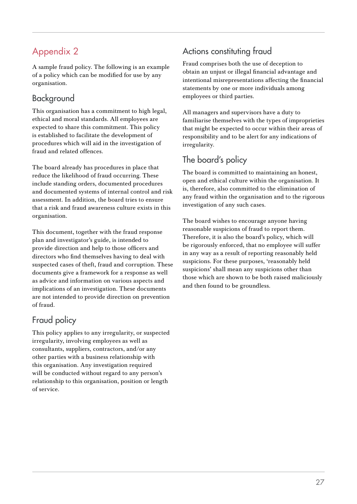A sample fraud policy. The following is an example of a policy which can be modified for use by any organisation.

## Background

This organisation has a commitment to high legal, ethical and moral standards. All employees are expected to share this commitment. This policy is established to facilitate the development of procedures which will aid in the investigation of fraud and related offences.

The board already has procedures in place that reduce the likelihood of fraud occurring. These include standing orders, documented procedures and documented systems of internal control and risk assessment. In addition, the board tries to ensure that a risk and fraud awareness culture exists in this organisation.

This document, together with the fraud response plan and investigator's guide, is intended to provide direction and help to those officers and directors who find themselves having to deal with suspected cases of theft, fraud and corruption. These documents give a framework for a response as well as advice and information on various aspects and implications of an investigation. These documents are not intended to provide direction on prevention of fraud.

### Fraud policy

This policy applies to any irregularity, or suspected irregularity, involving employees as well as consultants, suppliers, contractors, and/or any other parties with a business relationship with this organisation. Any investigation required will be conducted without regard to any person's relationship to this organisation, position or length of service.

# Actions constituting fraud

Fraud comprises both the use of deception to obtain an unjust or illegal financial advantage and intentional misrepresentations affecting the financial statements by one or more individuals among employees or third parties.

All managers and supervisors have a duty to familiarise themselves with the types of improprieties that might be expected to occur within their areas of responsibility and to be alert for any indications of irregularity.

# The board's policy

The board is committed to maintaining an honest, open and ethical culture within the organisation. It is, therefore, also committed to the elimination of any fraud within the organisation and to the rigorous investigation of any such cases.

The board wishes to encourage anyone having reasonable suspicions of fraud to report them. Therefore, it is also the board's policy, which will be rigorously enforced, that no employee will suffer in any way as a result of reporting reasonably held suspicions. For these purposes, 'reasonably held suspicions' shall mean any suspicions other than those which are shown to be both raised maliciously and then found to be groundless.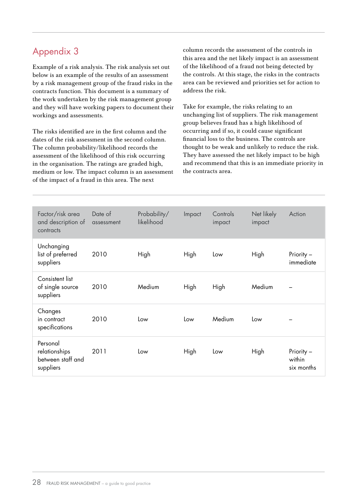Example of a risk analysis. The risk analysis set out below is an example of the results of an assessment by a risk management group of the fraud risks in the contracts function. This document is a summary of the work undertaken by the risk management group and they will have working papers to document their workings and assessments.

The risks identified are in the first column and the dates of the risk assessment in the second column. The column probability/likelihood records the assessment of the likelihood of this risk occurring in the organisation. The ratings are graded high, medium or low. The impact column is an assessment of the impact of a fraud in this area. The next

column records the assessment of the controls in this area and the net likely impact is an assessment of the likelihood of a fraud not being detected by the controls. At this stage, the risks in the contracts area can be reviewed and priorities set for action to address the risk.

Take for example, the risks relating to an unchanging list of suppliers. The risk management group believes fraud has a high likelihood of occurring and if so, it could cause significant financial loss to the business. The controls are thought to be weak and unlikely to reduce the risk. They have assessed the net likely impact to be high and recommend that this is an immediate priority in the contracts area.

| Factor/risk area<br>and description of<br>contracts         | Date of<br>assessment | Probability/<br>likelihood | Impact | Controls<br>impact | Net likely<br>impact | Action                             |
|-------------------------------------------------------------|-----------------------|----------------------------|--------|--------------------|----------------------|------------------------------------|
| Unchanging<br>list of preferred<br>suppliers                | 2010                  | High                       | High   | Low                | High                 | Priority -<br>immediate            |
| Consistent list<br>of single source<br>suppliers            | 2010                  | Medium                     | High   | High               | Medium               |                                    |
| Changes<br>in contract<br>specifications                    | 2010                  | Low                        | Low    | Medium             | Low                  |                                    |
| Personal<br>relationships<br>between staff and<br>suppliers | 2011                  | Low                        | High   | Low                | High                 | Priority -<br>within<br>six months |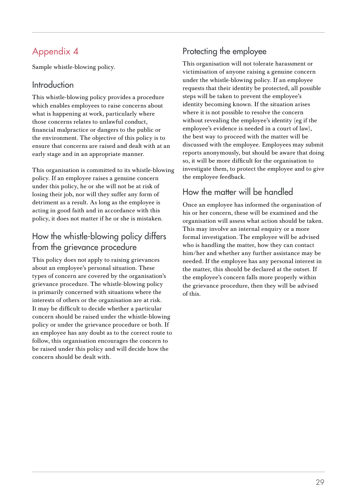Sample whistle-blowing policy.

### **Introduction**

This whistle-blowing policy provides a procedure which enables employees to raise concerns about what is happening at work, particularly where those concerns relates to unlawful conduct, financial malpractice or dangers to the public or the environment. The objective of this policy is to ensure that concerns are raised and dealt with at an early stage and in an appropriate manner.

This organisation is committed to its whistle-blowing policy. If an employee raises a genuine concern under this policy, he or she will not be at risk of losing their job, nor will they suffer any form of detriment as a result. As long as the employee is acting in good faith and in accordance with this policy, it does not matter if he or she is mistaken.

## How the whistle-blowing policy differs from the grievance procedure

This policy does not apply to raising grievances about an employee's personal situation. These types of concern are covered by the organisation's grievance procedure. The whistle-blowing policy is primarily concerned with situations where the interests of others or the organisation are at risk. It may be difficult to decide whether a particular concern should be raised under the whistle-blowing policy or under the grievance procedure or both. If an employee has any doubt as to the correct route to follow, this organisation encourages the concern to be raised under this policy and will decide how the concern should be dealt with.

# Protecting the employee

This organisation will not tolerate harassment or victimisation of anyone raising a genuine concern under the whistle-blowing policy. If an employee requests that their identity be protected, all possible steps will be taken to prevent the employee's identity becoming known. If the situation arises where it is not possible to resolve the concern without revealing the employee's identity (eg if the employee's evidence is needed in a court of law), the best way to proceed with the matter will be discussed with the employee. Employees may submit reports anonymously, but should be aware that doing so, it will be more difficult for the organisation to investigate them, to protect the employee and to give the employee feedback.

# How the matter will be handled

Once an employee has informed the organisation of his or her concern, these will be examined and the organisation will assess what action should be taken. This may involve an internal enquiry or a more formal investigation. The employee will be advised who is handling the matter, how they can contact him/her and whether any further assistance may be needed. If the employee has any personal interest in the matter, this should be declared at the outset. If the employee's concern falls more properly within the grievance procedure, then they will be advised of this.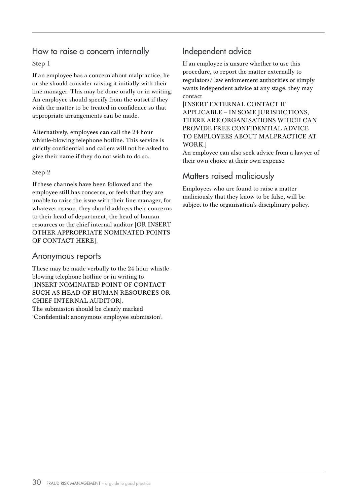### How to raise a concern internally

#### Step 1

If an employee has a concern about malpractice, he or she should consider raising it initially with their line manager. This may be done orally or in writing. An employee should specify from the outset if they wish the matter to be treated in confidence so that appropriate arrangements can be made.

Alternatively, employees can call the 24 hour whistle-blowing telephone hotline. This service is strictly confidential and callers will not be asked to give their name if they do not wish to do so.

#### Step 2

If these channels have been followed and the employee still has concerns, or feels that they are unable to raise the issue with their line manager, for whatever reason, they should address their concerns to their head of department, the head of human resources or the chief internal auditor [OR INSERT OTHER APPROPRIATE NOMINATED POINTS OF CONTACT HERE].

#### Anonymous reports

These may be made verbally to the 24 hour whistleblowing telephone hotline or in writing to [INSERT NOMINATED POINT OF CONTACT SUCH AS HEAD OF HUMAN RESOURCES OR CHIEF INTERNAL AUDITOR]. The submission should be clearly marked 'Confidential: anonymous employee submission'.

### Independent advice

If an employee is unsure whether to use this procedure, to report the matter externally to regulators/ law enforcement authorities or simply wants independent advice at any stage, they may contact

[INSERT EXTERNAL CONTACT IF APPLICABLE – IN SOME JURISDICTIONS, THERE ARE ORGANISATIONS WHICH CAN PROVIDE FREE CONFIDENTIAL ADVICE TO EMPLOYEES ABOUT MALPRACTICE AT WORK.]

An employee can also seek advice from a lawyer of their own choice at their own expense.

#### Matters raised maliciously

Employees who are found to raise a matter maliciously that they know to be false, will be subject to the organisation's disciplinary policy.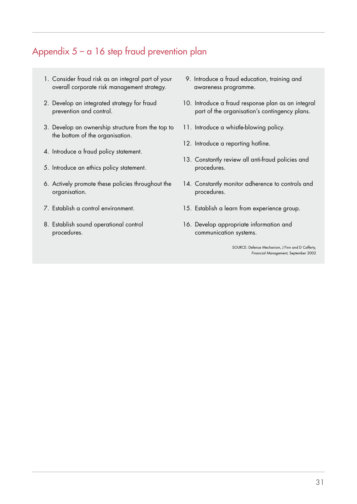# Appendix 5 – a 16 step fraud prevention plan

- 1. Consider fraud risk as an integral part of your overall corporate risk management strategy.
- 2. Develop an integrated strategy for fraud prevention and control.
- 3. Develop an ownership structure from the top to the bottom of the organisation.
- 4. Introduce a fraud policy statement.
- 5. Introduce an ethics policy statement.
- 6. Actively promote these policies throughout the organisation.
- 7. Establish a control environment.
- 8. Establish sound operational control procedures.
- 9. Introduce a fraud education, training and awareness programme.
- 10. Introduce a fraud response plan as an integral part of the organisation's contingency plans.
- 11. Introduce a whistle-blowing policy.
- 12. Introduce a reporting hotline.
- 13. Constantly review all anti-fraud policies and procedures.
- 14. Constantly monitor adherence to controls and procedures.
- 15. Establish a learn from experience group.
- 16. Develop appropriate information and communication systems.

SOURCE: Defence Mechanism, J Finn and D Cafferty, Financial Management, September 2002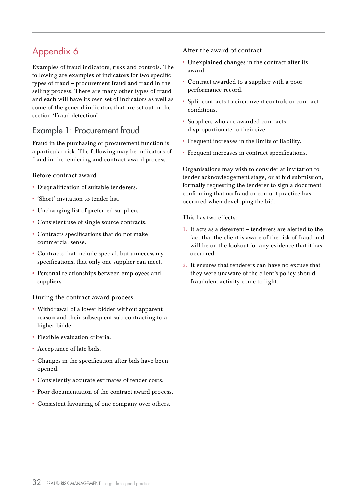Examples of fraud indicators, risks and controls. The following are examples of indicators for two specific types of fraud – procurement fraud and fraud in the selling process. There are many other types of fraud and each will have its own set of indicators as well as some of the general indicators that are set out in the section 'Fraud detection'.

### Example 1: Procurement fraud

Fraud in the purchasing or procurement function is a particular risk. The following may be indicators of fraud in the tendering and contract award process.

#### Before contract award

- Disqualification of suitable tenderers.
- 'Short' invitation to tender list.
- Unchanging list of preferred suppliers.
- Consistent use of single source contracts.
- Contracts specifications that do not make commercial sense.
- Contracts that include special, but unnecessary specifications, that only one supplier can meet.
- Personal relationships between employees and suppliers.

#### During the contract award process

- Withdrawal of a lower bidder without apparent reason and their subsequent sub-contracting to a higher bidder.
- Flexible evaluation criteria.
- Acceptance of late bids.
- Changes in the specification after bids have been opened.
- Consistently accurate estimates of tender costs.
- Poor documentation of the contract award process.
- Consistent favouring of one company over others.

#### After the award of contract

- Unexplained changes in the contract after its award.
- Contract awarded to a supplier with a poor performance record.
- Split contracts to circumvent controls or contract conditions.
- Suppliers who are awarded contracts disproportionate to their size.
- Frequent increases in the limits of liability.
- Frequent increases in contract specifications.

Organisations may wish to consider at invitation to tender acknowledgement stage, or at bid submission, formally requesting the tenderer to sign a document confirming that no fraud or corrupt practice has occurred when developing the bid.

This has two effects:

- 1. It acts as a deterrent tenderers are alerted to the fact that the client is aware of the risk of fraud and will be on the lookout for any evidence that it has occurred.
- 2. It ensures that tenderers can have no excuse that they were unaware of the client's policy should fraudulent activity come to light.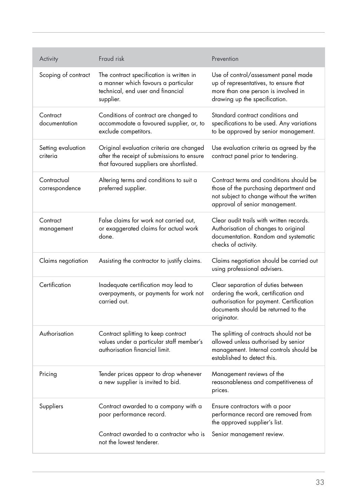| Activity                       | Fraud risk                                                                                                                         | Prevention                                                                                                                                                                   |
|--------------------------------|------------------------------------------------------------------------------------------------------------------------------------|------------------------------------------------------------------------------------------------------------------------------------------------------------------------------|
| Scoping of contract            | The contract specification is written in<br>a manner which favours a particular<br>technical, end user and financial<br>supplier.  | Use of control/assessment panel made<br>up of representatives, to ensure that<br>more than one person is involved in<br>drawing up the specification.                        |
| Contract<br>documentation      | Conditions of contract are changed to<br>accommodate a favoured supplier, or, to<br>exclude competitors.                           | Standard contract conditions and<br>specifications to be used. Any variations<br>to be approved by senior management.                                                        |
| Setting evaluation<br>criteria | Original evaluation criteria are changed<br>after the receipt of submissions to ensure<br>that favoured suppliers are shortlisted. | Use evaluation criteria as agreed by the<br>contract panel prior to tendering.                                                                                               |
| Contractual<br>correspondence  | Altering terms and conditions to suit a<br>preferred supplier.                                                                     | Contract terms and conditions should be<br>those of the purchasing department and<br>not subject to change without the written<br>approval of senior management.             |
| Contract<br>management         | False claims for work not carried out,<br>or exaggerated claims for actual work<br>done.                                           | Clear audit trails with written records.<br>Authorisation of changes to original<br>documentation. Random and systematic<br>checks of activity.                              |
| Claims negotiation             | Assisting the contractor to justify claims.                                                                                        | Claims negotiation should be carried out<br>using professional advisers.                                                                                                     |
| Certification                  | Inadequate certification may lead to<br>overpayments, or payments for work not<br>carried out.                                     | Clear separation of duties between<br>ordering the work, certification and<br>authorisation for payment. Certification<br>documents should be returned to the<br>originator. |
| Authorisation                  | Contract splitting to keep contract<br>values under a particular staff member's<br>authorisation financial limit.                  | The splitting of contracts should not be<br>allowed unless authorised by senior<br>management. Internal controls should be<br>established to detect this.                    |
| Pricing                        | Tender prices appear to drop whenever<br>a new supplier is invited to bid.                                                         | Management reviews of the<br>reasonableness and competitiveness of<br>prices.                                                                                                |
| Suppliers                      | Contract awarded to a company with a<br>poor performance record.                                                                   | Ensure contractors with a poor<br>performance record are removed from<br>the approved supplier's list.                                                                       |
|                                | Contract awarded to a contractor who is<br>not the lowest tenderer.                                                                | Senior management review.                                                                                                                                                    |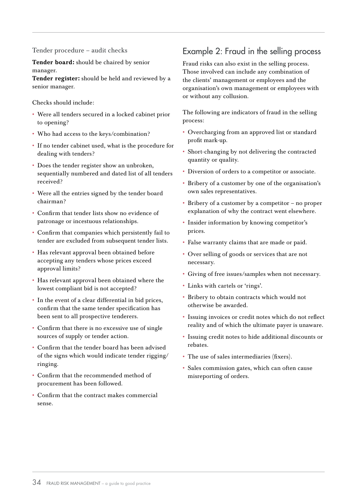Tender procedure – audit checks

Tender board: should be chaired by senior manager.

Tender register: should be held and reviewed by a senior manager.

Checks should include:

- Were all tenders secured in a locked cabinet prior to opening?
- Who had access to the keys/combination?
- If no tender cabinet used, what is the procedure for dealing with tenders?
- Does the tender register show an unbroken, sequentially numbered and dated list of all tenders received?
- Were all the entries signed by the tender board chairman?
- Confirm that tender lists show no evidence of patronage or incestuous relationships.
- Confirm that companies which persistently fail to tender are excluded from subsequent tender lists.
- Has relevant approval been obtained before accepting any tenders whose prices exceed approval limits?
- Has relevant approval been obtained where the lowest compliant bid is not accepted?
- In the event of a clear differential in bid prices, confirm that the same tender specification has been sent to all prospective tenderers.
- Confirm that there is no excessive use of single sources of supply or tender action.
- Confirm that the tender board has been advised of the signs which would indicate tender rigging/ ringing.
- Confirm that the recommended method of procurement has been followed.
- Confirm that the contract makes commercial sense.

### Example 2: Fraud in the selling process

Fraud risks can also exist in the selling process. Those involved can include any combination of the clients' management or employees and the organisation's own management or employees with or without any collusion.

The following are indicators of fraud in the selling process:

- Overcharging from an approved list or standard profit mark-up.
- Short-changing by not delivering the contracted quantity or quality.
- Diversion of orders to a competitor or associate.
- Bribery of a customer by one of the organisation's own sales representatives.
- Bribery of a customer by a competitor no proper explanation of why the contract went elsewhere.
- Insider information by knowing competitor's prices.
- False warranty claims that are made or paid.
- Over selling of goods or services that are not necessary.
- Giving of free issues/samples when not necessary.
- Links with cartels or 'rings'.
- Bribery to obtain contracts which would not otherwise be awarded.
- Issuing invoices or credit notes which do not reflect reality and of which the ultimate payer is unaware.
- Issuing credit notes to hide additional discounts or rebates.
- The use of sales intermediaries (fixers).
- Sales commission gates, which can often cause misreporting of orders.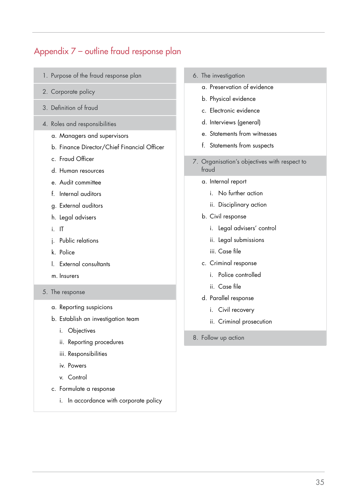# Appendix 7 – outline fraud response plan

- 1. Purpose of the fraud response plan
- 2. Corporate policy
- 3. Definition of fraud
- 4. Roles and responsibilities
	- a. Managers and supervisors
	- b. Finance Director/Chief Financial Officer
	- c. Fraud Officer
	- d. Human resources
	- e. Audit committee
	- f. Internal auditors
	- g. External auditors
	- h. Legal advisers
	- i. IT
	- j. Public relations
	- k. Police
	- l. External consultants
	- m. Insurers
- 5. The response
	- a. Reporting suspicions
	- b. Establish an investigation team
		- i. Objectives
		- ii. Reporting procedures
		- iii. Responsibilities
		- iv. Powers
		- v. Control
	- c. Formulate a response
		- i. In accordance with corporate policy
- 6. The investigation
	- a. Preservation of evidence
	- b. Physical evidence
	- c. Electronic evidence
	- d. Interviews (general)
	- e. Statements from witnesses
	- f. Statements from suspects
- 7. Organisation's objectives with respect to fraud
	- a. Internal report
		- i. No further action
		- ii. Disciplinary action
	- b. Civil response
		- i. Legal advisers' control
		- ii. Legal submissions
		- iii. Case file
	- c. Criminal response
		- i. Police controlled
		- ii. Case file
	- d. Parallel response
		- i. Civil recovery
		- ii. Criminal prosecution
- 8. Follow up action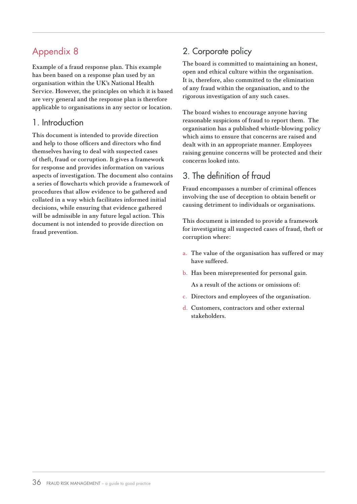Example of a fraud response plan. This example has been based on a response plan used by an organisation within the UK's National Health Service. However, the principles on which it is based are very general and the response plan is therefore applicable to organisations in any sector or location.

#### 1. Introduction

This document is intended to provide direction and help to those officers and directors who find themselves having to deal with suspected cases of theft, fraud or corruption. It gives a framework for response and provides information on various aspects of investigation. The document also contains a series of flowcharts which provide a framework of procedures that allow evidence to be gathered and collated in a way which facilitates informed initial decisions, while ensuring that evidence gathered will be admissible in any future legal action. This document is not intended to provide direction on fraud prevention.

# 2. Corporate policy

The board is committed to maintaining an honest, open and ethical culture within the organisation. It is, therefore, also committed to the elimination of any fraud within the organisation, and to the rigorous investigation of any such cases.

The board wishes to encourage anyone having reasonable suspicions of fraud to report them. The organisation has a published whistle-blowing policy which aims to ensure that concerns are raised and dealt with in an appropriate manner. Employees raising genuine concerns will be protected and their concerns looked into.

# 3. The definition of fraud

Fraud encompasses a number of criminal offences involving the use of deception to obtain benefit or causing detriment to individuals or organisations.

This document is intended to provide a framework for investigating all suspected cases of fraud, theft or corruption where:

- a. The value of the organisation has suffered or may have suffered.
- b. Has been misrepresented for personal gain.

As a result of the actions or omissions of:

- c. Directors and employees of the organisation.
- d. Customers, contractors and other external stakeholders.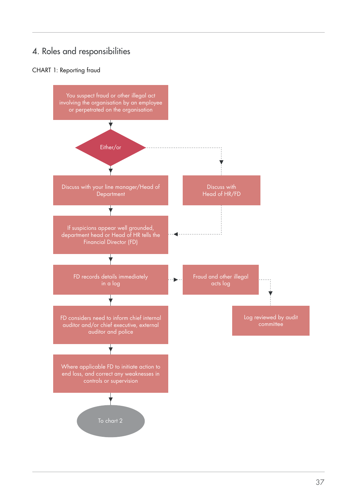# 4. Roles and responsibilities

#### CHART 1: Reporting fraud

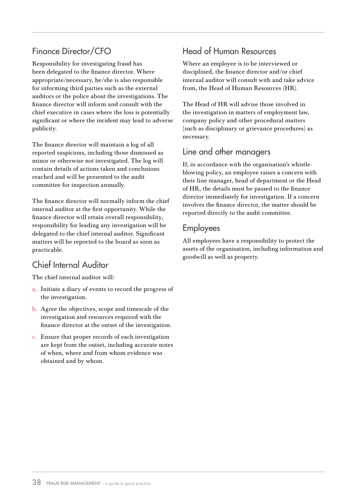### Finance Director/CFO

Responsibility for investigating fraud has been delegated to the finance director. Where appropriate/necessary, he/she is also responsible for informing third parties such as the external auditors or the police about the investigations. The finance director will inform and consult with the chief executive in cases where the loss is potentially significant or where the incident may lead to adverse publicity.

The finance director will maintain a log of all reported suspicions, including those dismissed as minor or otherwise not investigated. The log will contain details of actions taken and conclusions reached and will be presented to the audit committee for inspection annually.

The finance director will normally inform the chief internal auditor at the first opportunity. While the finance director will retain overall responsibility, responsibility for leading any investigation will be delegated to the chief internal auditor. Significant matters will be reported to the board as soon as practicable.

### Chief Internal Auditor

The chief internal auditor will:

- a. Initiate a diary of events to record the progress of the investigation.
- b. Agree the objectives, scope and timescale of the investigation and resources required with the finance director at the outset of the investigation.
- c. Ensure that proper records of each investigation are kept from the outset, including accurate notes of when, where and from whom evidence was obtained and by whom.

### Head of Human Resources

Where an employee is to be interviewed or disciplined, the finance director and/or chief internal auditor will consult with and take advice from, the Head of Human Resources (HR).

The Head of HR will advise those involved in the investigation in matters of employment law, company policy and other procedural matters (such as disciplinary or grievance procedures) as necessary.

### Line and other managers

If, in accordance with the organisation's whistleblowing policy, an employee raises a concern with their line manager, head of department or the Head of HR, the details must be passed to the finance director immediately for investigation. If a concern involves the finance director, the matter should be reported directly to the audit committee.

#### Employees

All employees have a responsibility to protect the assets of the organisation, including information and goodwill as well as property.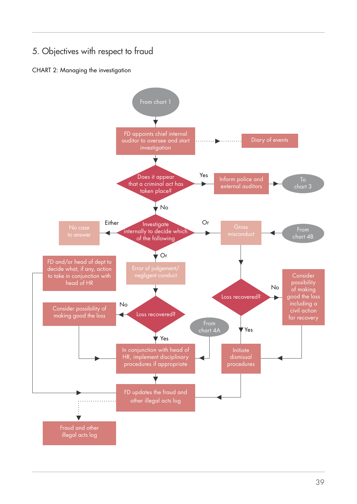# 5. Objectives with respect to fraud

#### CHART 2: Managing the investigation

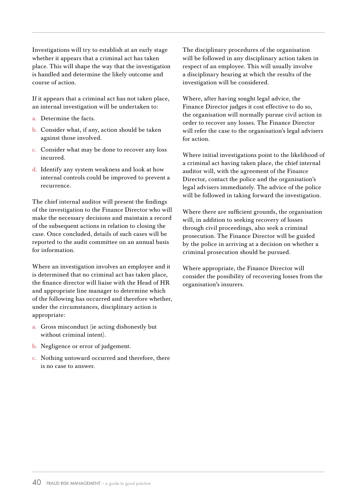Investigations will try to establish at an early stage whether it appears that a criminal act has taken place. This will shape the way that the investigation is handled and determine the likely outcome and course of action.

If it appears that a criminal act has not taken place, an internal investigation will be undertaken to:

- a. Determine the facts.
- b. Consider what, if any, action should be taken against those involved.
- c. Consider what may be done to recover any loss incurred.
- d. Identify any system weakness and look at how internal controls could be improved to prevent a recurrence.

The chief internal auditor will present the findings of the investigation to the Finance Director who will make the necessary decisions and maintain a record of the subsequent actions in relation to closing the case. Once concluded, details of such cases will be reported to the audit committee on an annual basis for information.

Where an investigation involves an employee and it is determined that no criminal act has taken place, the finance director will liaise with the Head of HR and appropriate line manager to determine which of the following has occurred and therefore whether, under the circumstances, disciplinary action is appropriate:

- a. Gross misconduct (ie acting dishonestly but without criminal intent).
- b. Negligence or error of judgement.
- c. Nothing untoward occurred and therefore, there is no case to answer.

The disciplinary procedures of the organisation will be followed in any disciplinary action taken in respect of an employee. This will usually involve a disciplinary hearing at which the results of the investigation will be considered.

Where, after having sought legal advice, the Finance Director judges it cost effective to do so, the organisation will normally pursue civil action in order to recover any losses. The Finance Director will refer the case to the organisation's legal advisers for action.

Where initial investigations point to the likelihood of a criminal act having taken place, the chief internal auditor will, with the agreement of the Finance Director, contact the police and the organisation's legal advisers immediately. The advice of the police will be followed in taking forward the investigation.

Where there are sufficient grounds, the organisation will, in addition to seeking recovery of losses through civil proceedings, also seek a criminal prosecution. The Finance Director will be guided by the police in arriving at a decision on whether a criminal prosecution should be pursued.

Where appropriate, the Finance Director will consider the possibility of recovering losses from the organisation's insurers.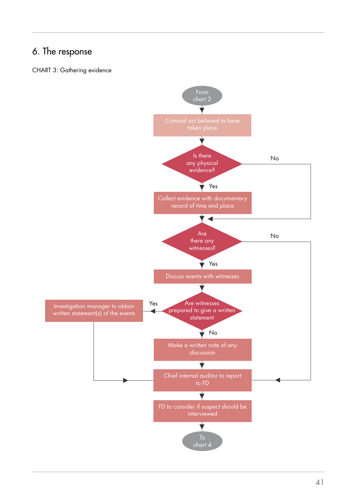# 6. The response

#### CHART 3: Gathering evidence

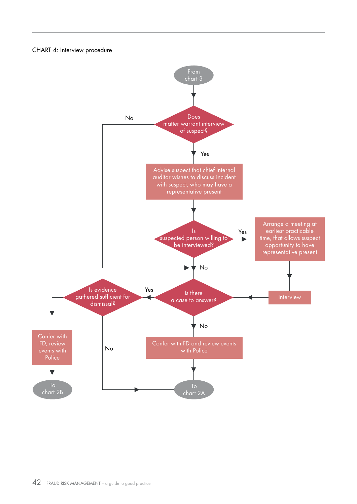#### CHART 4: Interview procedure



42 FRAUD RISK MANAGEMENT – a guide to good practice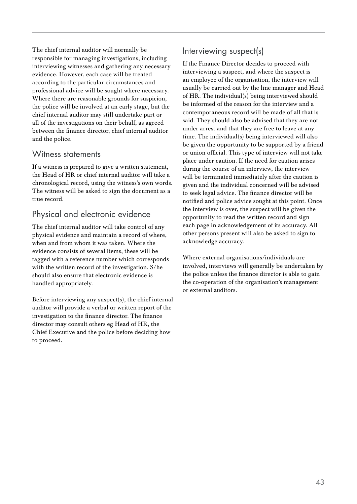The chief internal auditor will normally be responsible for managing investigations, including interviewing witnesses and gathering any necessary evidence. However, each case will be treated according to the particular circumstances and professional advice will be sought where necessary. Where there are reasonable grounds for suspicion, the police will be involved at an early stage, but the chief internal auditor may still undertake part or all of the investigations on their behalf, as agreed between the finance director, chief internal auditor and the police.

#### Witness statements

If a witness is prepared to give a written statement, the Head of HR or chief internal auditor will take a chronological record, using the witness's own words. The witness will be asked to sign the document as a true record.

### Physical and electronic evidence

The chief internal auditor will take control of any physical evidence and maintain a record of where, when and from whom it was taken. Where the evidence consists of several items, these will be tagged with a reference number which corresponds with the written record of the investigation. S/he should also ensure that electronic evidence is handled appropriately.

Before interviewing any suspect(s), the chief internal auditor will provide a verbal or written report of the investigation to the finance director. The finance director may consult others eg Head of HR, the Chief Executive and the police before deciding how to proceed.

### Interviewing suspect(s)

If the Finance Director decides to proceed with interviewing a suspect, and where the suspect is an employee of the organisation, the interview will usually be carried out by the line manager and Head of HR. The individual(s) being interviewed should be informed of the reason for the interview and a contemporaneous record will be made of all that is said. They should also be advised that they are not under arrest and that they are free to leave at any time. The individual(s) being interviewed will also be given the opportunity to be supported by a friend or union official. This type of interview will not take place under caution. If the need for caution arises during the course of an interview, the interview will be terminated immediately after the caution is given and the individual concerned will be advised to seek legal advice. The finance director will be notified and police advice sought at this point. Once the interview is over, the suspect will be given the opportunity to read the written record and sign each page in acknowledgement of its accuracy. All other persons present will also be asked to sign to acknowledge accuracy.

Where external organisations/individuals are involved, interviews will generally be undertaken by the police unless the finance director is able to gain the co-operation of the organisation's management or external auditors.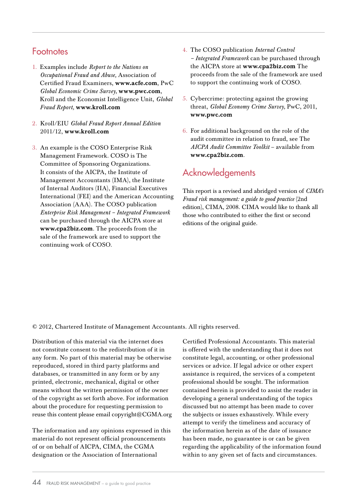### **Footnotes**

- 1. Examples include *Report to the Nations on Occupational Fraud and Abuse,* Association of Certified Fraud Examiners, www.acfe.com, PwC *Global Economic Crime Survey,* www.pwc.com, Kroll and the Economist Intelligence Unit, *Global Fraud Report,* www.kroll.com
- 2. Kroll/EIU *Global Fraud Report Annual Edition* 2011/12, www.kroll.com
- 3. An example is the COSO Enterprise Risk Management Framework. COSO is The Committee of Sponsoring Organizations. It consists of the AICPA, the Institute of Management Accountants (IMA), the Institute of Internal Auditors (IIA), Financial Executives International (FEI) and the American Accounting Association (AAA). The COSO publication *Enterprise Risk Management – Integrated Framework* can be purchased through the AICPA store at www.cpa2biz.com. The proceeds from the sale of the framework are used to support the continuing work of COSO.
- 4. The COSO publication *Internal Control – Integrated Framework* can be purchased through the AICPA store at www.cpa2biz.com The proceeds from the sale of the framework are used to support the continuing work of COSO.
- 5. Cybercrime: protecting against the growing threat, *Global Economy Crime Survey,* PwC, 2011, www.pwc.com
- 6. For additional background on the role of the audit committee in relation to fraud, see The *AICPA Audit Committee Toolkit* – available from www.cpa2biz.com.

## Acknowledgements

This report is a revised and abridged version of *CIMA's Fraud risk management: a guide to good practice* (2nd edition), CIMA, 2008. CIMA would like to thank all those who contributed to either the first or second editions of the original guide.

© 2012, Chartered Institute of Management Accountants. All rights reserved.

Distribution of this material via the internet does not constitute consent to the redistribution of it in any form. No part of this material may be otherwise reproduced, stored in third party platforms and databases, or transmitted in any form or by any printed, electronic, mechanical, digital or other means without the written permission of the owner of the copyright as set forth above. For information about the procedure for requesting permission to reuse this content please email copyright@CGMA.org

The information and any opinions expressed in this material do not represent official pronouncements of or on behalf of AICPA, CIMA, the CGMA designation or the Association of International

Certified Professional Accountants. This material is offered with the understanding that it does not constitute legal, accounting, or other professional services or advice. If legal advice or other expert assistance is required, the services of a competent professional should be sought. The information contained herein is provided to assist the reader in developing a general understanding of the topics discussed but no attempt has been made to cover the subjects or issues exhaustively. While every attempt to verify the timeliness and accuracy of the information herein as of the date of issuance has been made, no guarantee is or can be given regarding the applicability of the information found within to any given set of facts and circumstances.